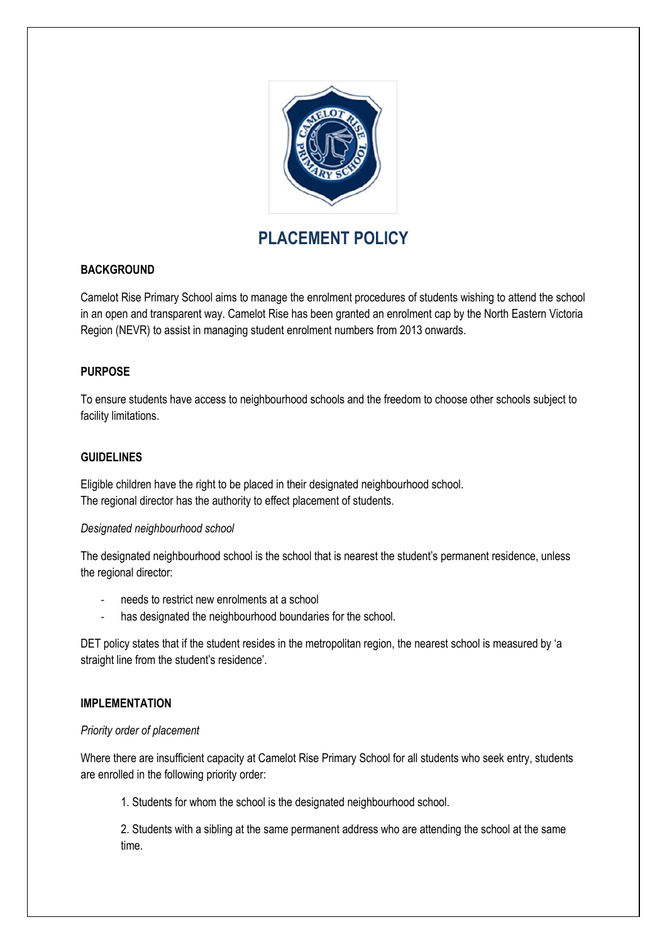

# **PLACEMENT POLICY**

## **BACKGROUND**

Camelot Rise Primary School aims to manage the enrolment procedures of students wishing to attend the school in an open and transparent way. Camelot Rise has been granted an enrolment cap by the North Eastern Victoria Region (NEVR) to assist in managing student enrolment numbers from 2013 onwards.

## **PURPOSE**

To ensure students have access to neighbourhood schools and the freedom to choose other schools subject to facility limitations.

#### **GUIDELINES**

Eligible children have the right to be placed in their designated neighbourhood school. The regional director has the authority to effect placement of students.

## *Designated neighbourhood school*

The designated neighbourhood school is the school that is nearest the student's permanent residence, unless the regional director:

- needs to restrict new enrolments at a school
- has designated the neighbourhood boundaries for the school.

DET policy states that if the student resides in the metropolitan region, the nearest school is measured by 'a straight line from the student's residence'.

## **IMPLEMENTATION**

#### *Priority order of placement*

Where there are insufficient capacity at Camelot Rise Primary School for all students who seek entry, students are enrolled in the following priority order:

1. Students for whom the school is the designated neighbourhood school.

2. Students with a sibling at the same permanent address who are attending the school at the same time.